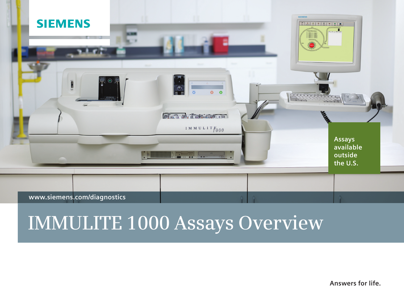

### **www.siemens.com/diagnostics**

# **IMMULITE 1000 Assays Overview**

**Answers for life.**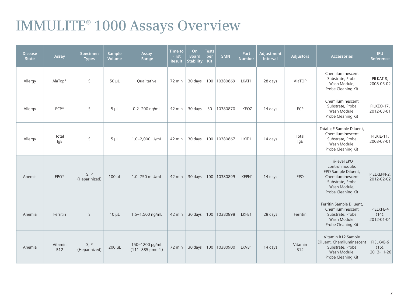## **IMMULITE® 1000 Assays Overview**

| <b>Disease</b><br><b>State</b> | Assay                 | Specimen<br><b>Types</b> | <b>Sample</b><br>Volume | Assay<br>Range                     | <b>Time to</b><br><b>First</b><br><b>Result</b> | On<br><b>Board</b><br><b>Stability</b> | <b>Tests</b><br>per<br>Kit | <b>SMN</b>   | Part<br><b>Number</b> | Adjustment<br>Interval | <b>Adjustors</b>      | <b>Accessories</b>                                                                                                                    | <b>IFU</b><br><b>Reference</b>      |
|--------------------------------|-----------------------|--------------------------|-------------------------|------------------------------------|-------------------------------------------------|----------------------------------------|----------------------------|--------------|-----------------------|------------------------|-----------------------|---------------------------------------------------------------------------------------------------------------------------------------|-------------------------------------|
| Allergy                        | AlaTop*               | S                        | $50 \mu L$              | Qualitative                        | 72 min                                          | 30 days                                |                            | 100 10380869 | LKAT1                 | 28 days                | AlaTOP                | Chemiluminescent<br>Substrate, Probe<br>Wash Module,<br>Probe Cleaning Kit                                                            | PILKAT-8,<br>2008-05-02             |
| Allergy                        | $ECP*$                | S                        | $5 \mu L$               | 0.2-200 ng/mL                      | 42 min                                          | 30 days                                | 50                         | 10380870     | LKEOZ                 | 14 days                | ECP                   | Chemiluminescent<br>Substrate, Probe<br>Wash Module,<br>Probe Cleaning Kit                                                            | PILKEO-17,<br>2012-03-01            |
| Allergy                        | Total<br>lgE          | S                        | $5 \mu L$               | 1.0-2,000 IU/mL                    | 42 min                                          | 30 days                                |                            | 100 10380867 | LKIE1                 | 14 days                | Total<br>IgE          | Total IgE Sample Diluent,<br>Chemiluminescent<br>Substrate, Probe<br>Wash Module,<br>Probe Cleaning Kit                               | PILKIE-11,<br>2008-07-01            |
| Anemia                         | EPO*                  | S, P<br>(Heparinized)    | 100 µL                  | 1.0-750 mIU/mL                     | 42 min                                          | 30 days                                |                            | 100 10380899 | LKEPN1                | 14 days                | EPO                   | Tri-level EPO<br>control module,<br>EPO Sample Diluent,<br>Chemiluminescent<br>Substrate, Probe<br>Wash Module,<br>Probe Cleaning Kit | PIELKEPN-2,<br>2012-02-02           |
| Anemia                         | Ferritin              | S                        | $10 \mu L$              | 1.5-1,500 ng/mL                    | 42 min                                          | 30 days                                |                            | 100 10380898 | LKFE1                 | 28 days                | Ferritin              | Ferritin Sample Diluent,<br>Chemiluminescent<br>Substrate, Probe<br>Wash Module,<br>Probe Cleaning Kit                                | PIELKFE-4<br>$(14)$ ,<br>2012-01-04 |
| Anemia                         | Vitamin<br><b>B12</b> | S, P<br>(Heparinized)    | $200 \mu L$             | 150-1200 pg/mL<br>(111-885 pmol/L) | 72 min                                          | $30 \text{ days}$                      |                            | 100 10380900 | LKVB1                 | 14 days                | Vitamin<br><b>B12</b> | Vitamin B12 Sample<br>Diluent, Chemiluminescent<br>Substrate, Probe<br>Wash Module,<br>Probe Cleaning Kit                             | PIELKVB-6<br>$(16)$ ,<br>2013-11-26 |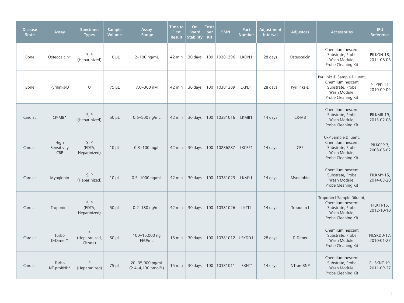| <b>Disease</b><br><b>State</b> | Assay                             | <b>Specimen</b><br><b>Types</b> | <b>Sample</b><br>Volume | Assay<br>Range                        | Time to<br><b>First</b><br><b>Result</b> | On<br><b>Board</b><br><b>Stability</b> | <b>Tests</b><br>per<br><b>Kit</b> | <b>SMN</b>     | Part<br><b>Number</b> | <b>Adjustment</b><br>Interval | <b>Adjustors</b> | <b>Accessories</b>                                                                                        | <b>IFU</b><br>Reference   |
|--------------------------------|-----------------------------------|---------------------------------|-------------------------|---------------------------------------|------------------------------------------|----------------------------------------|-----------------------------------|----------------|-----------------------|-------------------------------|------------------|-----------------------------------------------------------------------------------------------------------|---------------------------|
| Bone                           | Osteocalcin*                      | S, P<br>(Heparinized)           | $10 \mu L$              | 2-100 ng/mL                           | 42 min                                   | 30 days                                | 100                               | 10381396       | LKON1                 | 28 days                       | Osteocalcin      | Chemiluminescent<br>Substrate, Probe<br>Wash Module,<br>Probe Cleaning Kit                                | PILKON-18,<br>2014-08-06  |
| Bone                           | Pyrilinks-D                       | U                               | $75 \mu L$              | 7.0-300 nM                            | 42 min                                   | 30 days                                |                                   | 100 10381389   | LKPD1                 | 28 days                       | Pyrilinks-D      | Pyrilinks-D Sample Diluent,<br>Chemiluminescent<br>Substrate, Probe<br>Wash Module,<br>Probe Cleaning Kit | PILKPD-14,<br>2010-09-09  |
| Cardiac                        | $CK-MB*$                          | S, P<br>(Heparinized)           | $50 \mu L$              | 0.6-500 ng/mL                         | 42 min                                   | 30 days                                |                                   | 100 10381016   | LKMB1                 | 14 days                       | CK-MB            | Chemiluminescent<br>Substrate, Probe<br>Wash Module,<br>Probe Cleaning Kit                                | PILKMB-19,<br>2013-02-08  |
| Cardiac                        | High<br>Sensitivity<br><b>CRP</b> | S, P<br>(EDTA,<br>Heparinized)  | $10 \mu L$              | $0.3 - 100$ mg/L                      | 42 min                                   | 30 days                                |                                   | 100 10286287   | LKCRP1                | 14 days                       | <b>CRP</b>       | CRP Sample Diluent,<br>Chemiluminescent<br>Substrate, Probe<br>Wash Module,<br>Probe Cleaning Kit         | PILKCRP-3,<br>2008-05-02  |
| Cardiac                        | Myoglobin                         | S, P<br>(Heparinized)           | $10 \mu L$              | 0.5-1000 ng/mL                        | 42 min                                   | 30 days                                |                                   | 100 10381023   | LKMY1                 | 14 days                       | Myoglobin        | Chemiluminescent<br>Substrate, Probe<br>Wash Module,<br>Probe Cleaning Kit                                | PILKMY-15,<br>2014-03-20  |
| Cardiac                        | Troponin I                        | S, P<br>(EDTA,<br>Heparinized)  | $50 \mu L$              | $0.2 - 180$ ng/mL                     | 42 min                                   | 30 days                                |                                   | 100 10381026   | LKTI1                 | 14 days                       | Troponin I       | Troponin I Sample Diluent,<br>Chemiluminescent<br>Substrate, Probe<br>Wash Module,<br>Probe Cleaning Kit  | PILKTI-15,<br>2012-10-10  |
| Cardiac                        | Turbo<br>D-Dimer*                 | Þ<br>(Heparanized,<br>Citrate)  | $50 \mu L$              | 100-15,000 ng<br>FEU/mL               | $15 \text{ min}$                         | 30 days                                |                                   | 100   10381012 | LSKDD1                | 28 days                       | D-Dimer          | Chemiluminescent<br>Substrate, Probe<br>Wash Module,<br>Probe Cleaning Kit                                | PILSKDD-17,<br>2010-01-27 |
| Cardiac                        | Turbo<br>NT-proBNP*               | P<br>(Heparanized)              | 75 µL                   | 20-35,000 pg/mL<br>(2.4-4,130 pmol/L) | $15 \text{ min}$                         | 30 days                                |                                   | 100 10381011   | LSKNT1                | 14 days                       | NT-proBNP        | Chemiluminescent<br>Substrate, Probe<br>Wash Module,<br>Probe Cleaning Kit                                | PILSKNT-19,<br>2011-09-27 |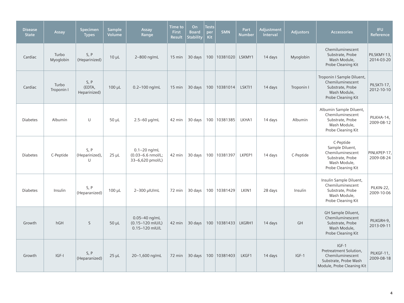| <b>Disease</b><br><b>State</b> | Assay               | <b>Specimen</b><br><b>Types</b> | <b>Sample</b><br><b>Volume</b> | Assay<br>Range                                            | <b>Time to</b><br><b>First</b><br><b>Result</b> | On<br><b>Board</b><br><b>Stability</b> | <b>Tests</b><br>per<br><b>Kit</b> | <b>SMN</b>   | Part<br><b>Number</b> | Adjustment<br><b>Interval</b> | <b>Adjustors</b> | <b>Accessories</b>                                                                                           | <b>IFU</b><br><b>Reference</b> |
|--------------------------------|---------------------|---------------------------------|--------------------------------|-----------------------------------------------------------|-------------------------------------------------|----------------------------------------|-----------------------------------|--------------|-----------------------|-------------------------------|------------------|--------------------------------------------------------------------------------------------------------------|--------------------------------|
| Cardiac                        | Turbo<br>Myoglobin  | S, P<br>(Heparinized)           | $10 \mu L$                     | 2-800 ng/mL                                               | $15 \text{ min}$                                | 30 days                                |                                   | 100 10381020 | LSKMY1                | 14 days                       | Myoglobin        | Chemiluminescent<br>Substrate, Probe<br>Wash Module,<br>Probe Cleaning Kit                                   | PILSKMY-13.<br>2014-03-20      |
| Cardiac                        | Turbo<br>Troponin I | S, P<br>(EDTA,<br>Heparinized)  | $100 \mu L$                    | $0.2 - 100$ ng/mL                                         | $15 \text{ min}$                                | 30 days                                |                                   | 100 10381014 | LSKTI1                | 14 days                       | Troponin I       | Troponin I Sample Diluent,<br>Chemiluminescent<br>Substrate, Probe<br>Wash Module,<br>Probe Cleaning Kit     | PILSKTI-17,<br>2012-10-10      |
| <b>Diabetes</b>                | Albumin             | U                               | $50 \mu L$                     | $2.5 - 60$ µg/mL                                          | 42 min                                          | 30 days                                |                                   | 100 10381385 | LKHA1                 | 14 days                       | Albumin          | Albumin Sample Diluent,<br>Chemiluminescent<br>Substrate, Probe<br>Wash Module,<br>Probe Cleaning Kit        | PILKHA-14,<br>2009-08-12       |
| <b>Diabetes</b>                | C-Peptide           | S, P<br>(Heparinized),<br>U     | $25 \mu L$                     | $0.1 - 20$ ng/mL<br>(0.03-6.6 nmol/L;<br>33-6,620 pmol/L) | 42 min                                          | 30 days                                |                                   | 100 10381397 | LKPEP1                | 14 days                       | C-Peptide        | C-Peptide<br>Sample Diluent,<br>Chemiluminescent<br>Substrate, Probe<br>Wash Module,<br>Probe Cleaning Kit   | PINLKPEP-17,<br>2009-08-24     |
| <b>Diabetes</b>                | Insulin             | S, P<br>(Heparanized)           | $100 \mu L$                    | 2-300 µlU/mL                                              | 72 min                                          | 30 days                                |                                   | 100 10381429 | LKIN1                 | 28 days                       | Insulin          | Insulin Sample Diluent,<br>Chemiluminescent<br>Substrate, Probe<br>Wash Module,<br>Probe Cleaning Kit        | PILKIN-22,<br>2009-10-06       |
| Growth                         | hGH                 | $\mathsf{S}$                    | $50 \mu L$                     | $0.05 - 40$ ng/mL<br>(0.15-120 mIU/L)<br>0.15-120 mIU/L   | 42 min                                          | 30 days                                |                                   | 100 10381433 | LKGRH1                | 14 days                       | <b>GH</b>        | GH Sample Diluent,<br>Chemiluminescent<br>Substrate, Probe<br>Wash Module,<br>Probe Cleaning Kit             | PILKGRH-9,<br>2013-09-11       |
| Growth                         | IGF-I               | S, P<br>(Heparanized)           | $25 \mu L$                     | 20-1,600 ng/mL                                            | 72 min                                          | 30 days                                |                                   | 100 10381403 | LKGF1                 | 14 days                       | $IGF-1$          | $IGF-1$<br>Pretreatment Solution,<br>Chemiluminescent<br>Substrate, Probe Wash<br>Module, Probe Cleaning Kit | PILKGF-11,<br>2009-08-18       |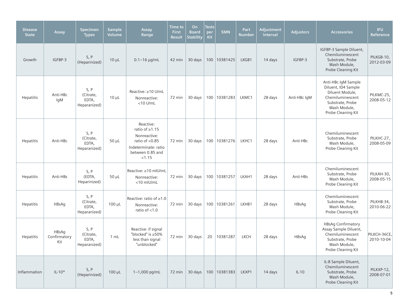| <b>Disease</b><br><b>State</b> | Assay                        | Specimen<br><b>Types</b>                   | <b>Sample</b><br><b>Volume</b> | Assay<br>Range                                                                                                               | Time to<br><b>First</b><br><b>Result</b> | On<br><b>Board</b><br><b>Stability</b> | <b>Tests</b><br>per<br>Kit | <b>SMN</b>     | Part<br><b>Number</b> | Adjustment<br>Interval | <b>Adjustors</b> | <b>Accessories</b>                                                                                                                          | <b>IFU</b><br><b>Reference</b> |
|--------------------------------|------------------------------|--------------------------------------------|--------------------------------|------------------------------------------------------------------------------------------------------------------------------|------------------------------------------|----------------------------------------|----------------------------|----------------|-----------------------|------------------------|------------------|---------------------------------------------------------------------------------------------------------------------------------------------|--------------------------------|
| Growth                         | IGFBP-3                      | S, P<br>(Heparinized)                      | $10 \mu L$                     | $0.1 - 16$ µg/mL                                                                                                             | 42 min                                   | 30 days                                |                            | 100 10381425   | LKGB1                 | 14 days                | IGFBP-3          | IGFBP-3 Sample Diluent,<br>Chemiluminescent<br>Substrate, Probe<br>Wash Module,<br>Probe Cleaning Kit                                       | PILKGB-10,<br>2012-03-09       |
| Hepatitis                      | Anti-HBc<br>IgM              | S, P<br>(Citrate,<br>EDTA,<br>Heparanized) | $10 \mu L$                     | Reactive: ≥10 U/mL<br>Nonreactive:<br>$<$ 10 U/mL                                                                            | 72 min                                   | 30 days                                |                            | 100 10381283   | LKMC1                 | 28 days                | Anti-HBc IqM     | Anti-HBc IgM Sample<br>Diluent, ID4 Sample<br>Diluent Module,<br>Chemiluminescent<br>Substrate, Probe<br>Wash Module,<br>Probe Cleaning Kit | PILKMC-25,<br>2008-05-12       |
| Hepatitis                      | Anti-HBc                     | S, P<br>(Citrate,<br>EDTA,<br>Heparanized) | $50 \mu L$                     | Reactive:<br>ratio of $\geq$ 1.15<br>Nonreactive:<br>ratio of $< 0.85$<br>Indeterminate: ratio<br>between 0.85 and<br>< 1.15 | 72 min                                   | 30 days                                |                            | 100   10381276 | LKHC1                 | 28 days                | Anti-HBc         | Chemiluminescent<br>Substrate, Probe<br>Wash Module,<br>Probe Cleaning Kit                                                                  | PILKHC-27,<br>2008-05-09       |
| Hepatitis                      | Anti-HBs                     | S, P<br>(EDTA,<br>Heparinized)             | $50 \mu L$                     | Reactive: ≥10 mIU/mL<br>Nonreactive:<br><10 mIU/mL                                                                           | 72 min                                   | 30 days                                |                            | 100 10381257   | LKAH1                 | 28 days                | Anti-HBs         | Chemiluminescent<br>Substrate, Probe<br>Wash Module,<br>Probe Cleaning Kit                                                                  | PILKAH-30,<br>2008-05-15       |
| <b>Hepatitis</b>               | HBsAq                        | S, P<br>(Citrate,<br>EDTA,<br>Heparanized) | $100 \mu L$                    | Reactive: ratio of $\geq 1.0$<br>Nonreactive:<br>ratio of $<$ 1.0                                                            | 72 min                                   | 30 days                                |                            | 100 10381261   | LKHB1                 | 28 days                | HBsAq            | Chemiluminescent<br>Substrate, Probe<br>Wash Module,<br>Probe Cleaning Kit                                                                  | PILKHB-34,<br>2010-06-22       |
| Hepatitis                      | HBsAq<br>Confirmatory<br>Kit | S, P<br>(Citrate,<br>EDTA,<br>Heparanized) | 1 mL                           | Reactive: if signal<br>"blocked" is ≥50%<br>less than signal<br>"unblocked"                                                  | 72 min                                   | 30 days                                | 20                         | 10381287       | <b>LKCH</b>           | 28 days                | HBsAq            | <b>HBsAg Confirmatory</b><br>Assay Sample Diluent,<br>Chemiluminescent<br>Substrate, Probe<br>Wash Module,<br>Probe Cleaning Kit            | PILKCH-36CE,<br>2010-10-04     |
| Inflammation                   | $IL-10*$                     | S, P<br>(Heparinized)                      | $100 \mu L$                    | 1-1,000 pg/mL                                                                                                                |                                          | 72 min $\vert$ 30 days                 |                            | 100   10381383 | LKXP1                 | 14 days                | $IL-10$          | IL-8 Sample Diluent,<br>Chemiluminescent<br>Substrate, Probe<br>Wash Module,<br>Probe Cleaning Kit                                          | PILKXP-12,<br>2008-07-01       |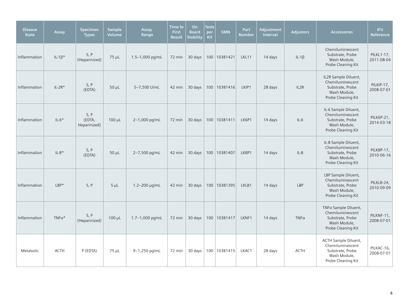| <b>Disease</b><br><b>State</b> | Assay          | <b>Specimen</b><br><b>Types</b> | <b>Sample</b><br>Volume | Assay<br>Range  | Time to<br><b>First</b><br><b>Result</b> | On<br><b>Board</b><br><b>Stability</b> | <b>Tests</b><br>per<br>Kit | <b>SMN</b>     | Part<br><b>Number</b> | Adjustment<br>Interval | <b>Adjustors</b> | <b>Accessories</b>                                                                                        | <b>IFU</b><br>Reference         |
|--------------------------------|----------------|---------------------------------|-------------------------|-----------------|------------------------------------------|----------------------------------------|----------------------------|----------------|-----------------------|------------------------|------------------|-----------------------------------------------------------------------------------------------------------|---------------------------------|
| Inflammation                   | IL-1 $\beta^*$ | S, P<br>(Heparinized)           | $75 \mu L$              | 1.5-1,000 pg/mL | 72 min                                   | 30 days                                |                            | 100 10381421   | LKL11                 | 14 days                | $IL-1\beta$      | Chemiluminescent<br>Substrate, Probe<br>Wash Module,<br>Probe Cleaning Kit                                | <b>PILKL1-17,</b><br>2011-08-04 |
| Inflammation                   | $IL-2R*$       | S, P<br>(EDTA)                  | $50 \mu L$              | 5-7,500 U/mL    | 42 min                                   | 30 days                                |                            | 100   10381416 | LKIP1                 | 28 days                | IL2R             | IL2R Sample Diluent,<br>Chemiluminescent<br>Substrate, Probe<br>Wash Module,<br>Probe Cleaning Kit        | PILKIP-17,<br>2008-07-01        |
| Inflammation                   | $IL-6*$        | S, P<br>(EDTA,<br>Heparinized)  | $100 \mu L$             | 2-1,000 pg/mL   | 72 min                                   | 30 days                                |                            | 100 10381411   | LK6P1                 | 14 days                | $IL-6$           | IL-6 Sample Diluent,<br>Chemiluminescent<br>Substrate, Probe<br>Wash Module,<br>Probe Cleaning Kit        | PILK6P-21,<br>2014-03-18        |
| Inflammation                   | $IL-8*$        | S, P<br>(EDTA)                  | $50 \mu L$              | 2-7,500 pg/mL   | 42 min                                   | 30 days                                |                            | 100 10381407   | LK8P1                 | 14 days                | $IL-8$           | IL-8 Sample Diluent,<br>Chemiluminescent<br>Substrate, Probe<br>Wash Module,<br>Probe Cleaning Kit        | <b>PILK8P-17,</b><br>2010-06-16 |
| Inflammation                   | $LBP*$         | S, P                            | $5 \mu L$               | 1.2-200 µg/mL   | 42 min                                   | 30 days                                |                            | 100   10381395 | LKLB1                 | 14 days                | LBP              | LBP Sample Diluent,<br>Chemiluminescent<br>Substrate, Probe<br>Wash Module,<br>Probe Cleaning Kit         | PILKLB-24,<br>2010-09-09        |
| Inflammation                   | TNFa*          | S, P<br>(Heparinized)           | 100 µL                  | 1.7-1,000 pg/mL | 72 min                                   | 30 days                                |                            | 100 10381417   | LKNF1                 | 14 days                | $TNF\alpha$      | TNFa Sample Diluent,<br>Chemiluminescent<br>Substrate, Probe<br>Wash Module,<br>Probe Cleaning Kit        | PILKNF-11,<br>2008-07-01        |
| Metabolic                      | <b>ACTH</b>    | P (EDTA)                        | $75 \mu L$              | 9-1,250 pg/mL   | 72 min                                   | 30 days                                |                            | 100   10381415 | LKAC1                 | 28 days                | <b>ACTH</b>      | <b>ACTH Sample Diluent,</b><br>Chemiluminescent<br>Substrate, Probe<br>Wash Module,<br>Probe Cleaning Kit | PILKAC-16,<br>2008-07-01        |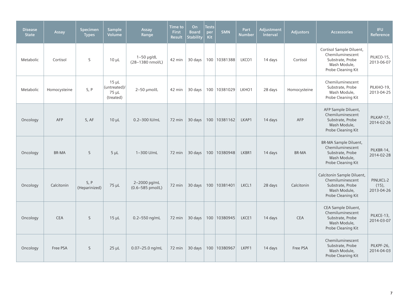| <b>Disease</b><br><b>State</b> | Assay        | <b>Specimen</b><br><b>Types</b> | <b>Sample</b><br><b>Volume</b>                  | Assay<br>Range                   | <b>Time to</b><br><b>First</b><br><b>Result</b> | On<br><b>Board</b><br><b>Stability</b> | <b>Tests</b><br>per<br>Kit | <b>SMN</b>     | Part<br><b>Number</b> | Adjustment<br><b>Interval</b> | <b>Adjustors</b> | <b>Accessories</b>                                                                                         | <b>IFU</b><br>Reference             |
|--------------------------------|--------------|---------------------------------|-------------------------------------------------|----------------------------------|-------------------------------------------------|----------------------------------------|----------------------------|----------------|-----------------------|-------------------------------|------------------|------------------------------------------------------------------------------------------------------------|-------------------------------------|
| Metabolic                      | Cortisol     | S                               | $10 \mu L$                                      | $1-50$ µg/dL<br>(28-1380 nmol/L) | 42 min                                          | 30 days                                |                            | 100   10381388 | LKCO1                 | 14 days                       | Cortisol         | Cortisol Sample Diluent,<br>Chemiluminescent<br>Substrate, Probe<br>Wash Module,<br>Probe Cleaning Kit     | PILKCO-15.<br>2013-06-07            |
| Metabolic                      | Homocysteine | S, P                            | $15 \mu L$<br>(untreated)<br>75 µL<br>(treated) | 2-50 µmol/L                      | 42 min                                          | 30 days                                |                            | 100 10381029   | LKHO1                 | 28 days                       | Homocysteine     | Chemiluminescent<br>Substrate, Probe<br>Wash Module,<br>Probe Cleaning Kit                                 | PILKHO-19,<br>2013-04-25            |
| Oncology                       | <b>AFP</b>   | S, AF                           | $10 \mu L$                                      | 0.2-300 IU/mL                    | 72 min                                          | 30 days                                |                            | 100 10381162   | LKAP1                 | 14 days                       | <b>AFP</b>       | AFP Sample Diluent,<br>Chemiluminescent<br>Substrate, Probe<br>Wash Module,<br>Probe Cleaning Kit          | PILKAP-17,<br>2014-02-26            |
| Oncology                       | <b>BR-MA</b> | <sub>S</sub>                    | $5 \mu L$                                       | 1-300 U/mL                       | 72 min                                          | 30 days                                |                            | 100 10380948   | LKBR1                 | 14 days                       | <b>BR-MA</b>     | <b>BR-MA Sample Diluent,</b><br>Chemiluminescent<br>Substrate, Probe<br>Wash Module,<br>Probe Cleaning Kit | PILKBR-14,<br>2014-02-28            |
| Oncology                       | Calcitonin   | S, P<br>(Heparinized)           | $75 \mu L$                                      | 2-2000 pg/mL<br>(0.6-585 pmol/L) | 72 min                                          | 30 days                                |                            | 100 10381401   | LKCL1                 | 28 days                       | Calcitonin       | Calcitonin Sample Diluent,<br>Chemiluminescent<br>Substrate, Probe<br>Wash Module,<br>Probe Cleaning Kit   | PINLKCL-2<br>$(15)$ ,<br>2013-04-26 |
| Oncology                       | <b>CEA</b>   | <sub>S</sub>                    | $15 \mu L$                                      | 0.2-550 ng/mL                    | 72 min                                          | 30 days                                |                            | 100 10380945   | LKCE1                 | 14 days                       | <b>CEA</b>       | CEA Sample Diluent,<br>Chemiluminescent<br>Substrate, Probe<br>Wash Module,<br>Probe Cleaning Kit          | PILKCE-13,<br>2014-03-07            |
| Oncology                       | Free PSA     | <sub>S</sub>                    | $25 \mu L$                                      | 0.07-25.0 ng/mL                  | 72 min                                          | 30 days                                |                            | 100 10380967   | LKPF1                 | 14 days                       | Free PSA         | Chemiluminescent<br>Substrate, Probe<br>Wash Module,<br>Probe Cleaning Kit                                 | PILKPF-26.<br>2014-04-03            |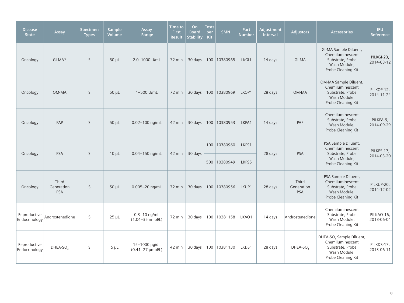| <b>Disease</b><br><b>State</b> | Assay                             | <b>Specimen</b><br><b>Types</b> | <b>Sample</b><br>Volume | Assay<br>Range                                   | <b>Time</b> to<br><b>First</b><br><b>Result</b> | On<br><b>Board</b><br><b>Stability</b> | <b>Tests</b><br>per<br>Kit | <b>SMN</b>     | Part<br>Number | Adjustment<br><b>Interval</b> | <b>Adjustors</b>                  | <b>Accessories</b>                                                                                                 | <b>IFU</b><br>Reference  |
|--------------------------------|-----------------------------------|---------------------------------|-------------------------|--------------------------------------------------|-------------------------------------------------|----------------------------------------|----------------------------|----------------|----------------|-------------------------------|-----------------------------------|--------------------------------------------------------------------------------------------------------------------|--------------------------|
| Oncology                       | $GI-MA*$                          | S                               | $50 \mu L$              | 2.0-1000 U/mL                                    | 72 min                                          | 30 days                                |                            | 100 10380965   | LKG11          | 14 days                       | GI-MA                             | GI-MA Sample Diluent,<br>Chemiluminescent<br>Substrate, Probe<br>Wash Module,<br>Probe Cleaning Kit                | PILKGI-23,<br>2014-03-12 |
| Oncology                       | OM-MA                             | S                               | $50 \mu L$              | 1-500 U/mL                                       | 72 min                                          | 30 days                                |                            | 100   10380969 | LKOP1          | 28 days                       | OM-MA                             | OM-MA Sample Diluent,<br>Chemiluminescent<br>Substrate, Probe<br>Wash Module,<br>Probe Cleaning Kit                | PILKOP-12,<br>2014-11-24 |
| Oncology                       | PAP                               | S                               | $50 \mu L$              | 0.02-100 ng/mL                                   | 42 min                                          | 30 days                                |                            | 100 10380953   | LKPA1          | 14 days                       | PAP                               | Chemiluminescent<br>Substrate, Probe<br>Wash Module,<br>Probe Cleaning Kit                                         | PILKPA-9,<br>2014-09-29  |
| Oncology                       | <b>PSA</b>                        | S                               | $10 \mu L$              | 0.04-150 ng/mL                                   | 42 min                                          | 30 days                                |                            | 100 10380960   | LKPS1          | 28 days                       | <b>PSA</b>                        | PSA Sample Diluent,<br>Chemiluminescent<br>Substrate, Probe                                                        | PILKPS-17,               |
|                                |                                   |                                 |                         |                                                  |                                                 |                                        |                            | 500 10380949   | LKPS5          |                               |                                   | Wash Module,<br>Probe Cleaning Kit                                                                                 | 2014-03-20               |
| Oncology                       | Third<br>Generation<br><b>PSA</b> | S                               | $50 \mu L$              | 0.005-20 ng/mL                                   | 72 min                                          | 30 days                                |                            | 100 10380956   | LKUP1          | 28 days                       | Third<br>Generation<br><b>PSA</b> | PSA Sample Diluent,<br>Chemiluminescent<br>Substrate, Probe<br>Wash Module,<br>Probe Cleaning Kit                  | PILKUP-20,<br>2014-12-02 |
| Reproductive<br>Endocrinology  | Androstenedione                   | S                               | $25 \mu L$              | $0.3 - 10$ ng/mL<br>$(1.04 - 35 \text{ nmol/L})$ | 72 min                                          | 30 days                                |                            | 100   10381158 | LKAO1          | 14 days                       | Androstenedione                   | Chemiluminescent<br>Substrate, Probe<br>Wash Module,<br>Probe Cleaning Kit                                         | PILKAO-16,<br>2013-06-04 |
| Reproductive<br>Endocrinology  | $DHEA-SOa$                        | S                               | $5 \mu L$               | 15-1000 µg/dL<br>(0.41-27 µmol/L)                | 42 min                                          | 30 days                                |                            | 100 10381130   | LKDS1          | 28 days                       | DHEA-SO                           | DHEA-SO <sub>4</sub> Sample Diluent,<br>Chemiluminescent<br>Substrate, Probe<br>Wash Module,<br>Probe Cleaning Kit | PILKDS-17,<br>2013-06-11 |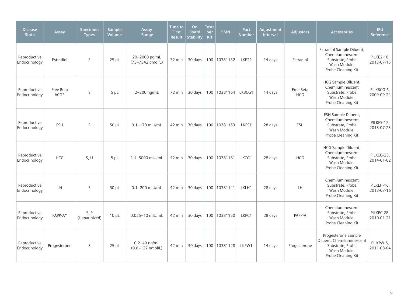| <b>Disease</b><br><b>State</b> | Assay               | <b>Specimen</b><br><b>Types</b> | <b>Sample</b><br>Volume | Assay<br>Range                                   | Time to<br><b>First</b><br><b>Result</b> | On<br><b>Board</b><br><b>Stability</b> | <b>Tests</b><br>per<br>Kit | <b>SMN</b>     | Part<br><b>Number</b> | Adjustment<br>Interval | <b>Adjustors</b>        | <b>Accessories</b>                                                                                         | <b>IFU</b><br>Reference         |
|--------------------------------|---------------------|---------------------------------|-------------------------|--------------------------------------------------|------------------------------------------|----------------------------------------|----------------------------|----------------|-----------------------|------------------------|-------------------------|------------------------------------------------------------------------------------------------------------|---------------------------------|
| Reproductive<br>Endocrinology  | Estradiol           | S                               | $25 \mu L$              | 20-2000 pg/mL<br>(73-7342 pmol/L)                | 72 min                                   | 30 days                                |                            | 100   10381132 | LKE21                 | 14 days                | Estradiol               | Estradiol Sample Diluent,<br>Chemiluminescent<br>Substrate, Probe<br>Wash Module,<br>Probe Cleaning Kit    | <b>PILKE2-18,</b><br>2013-07-15 |
| Reproductive<br>Endocrinology  | Free Beta<br>$hCG*$ | S                               | $5 \mu L$               | 2-200 ng/mL                                      | 72 min                                   | 30 days                                |                            | 100 10381164   | LKBCG1                | 14 days                | Free Beta<br><b>HCG</b> | HCG Sample Diluent,<br>Chemiluminescent<br>Substrate, Probe<br>Wash Module,<br>Probe Cleaning Kit          | PILKBCG-6,<br>2009-09-24        |
| Reproductive<br>Endocrinology  | FSH                 | S                               | $50 \mu L$              | 0.1-170 mlU/mL                                   | 42 min                                   | 30 days                                |                            | 100 10381153   | LKFS1                 | 28 days                | <b>FSH</b>              | FSH Sample Diluent,<br>Chemiluminescent<br>Substrate, Probe<br>Wash Module,<br>Probe Cleaning Kit          | PILKFS-17,<br>2013-07-23        |
| Reproductive<br>Endocrinology  | <b>HCG</b>          | S, U                            | $5 \mu L$               | 1.1-5000 mIU/mL                                  | 42 min                                   | 30 days                                |                            | 100 10381161   | LKCG1                 | 28 days                | <b>HCG</b>              | HCG Sample Diluent,<br>Chemiluminescent<br>Substrate, Probe<br>Wash Module,<br>Probe Cleaning Kit          | PILKCG-25,<br>2014-01-02        |
| Reproductive<br>Endocrinology  | LH                  | S                               | 50 µL                   | 0.1-200 mIU/mL                                   | 42 min                                   | 30 days                                |                            | 100 10381141   | LKLH1                 | 28 days                | LH                      | Chemiluminescent<br>Substrate, Probe<br>Wash Module,<br>Probe Cleaning Kit                                 | PILKLH-16.<br>2013-07-16        |
| Reproductive<br>Endocrinology  | PAPP-A*             | S, P<br>(Heparinized)           | $10 \mu L$              | 0.025-10 mIU/mL                                  | 42 min                                   | 30 days                                |                            | 100   10381150 | LKPC1                 | 28 days                | PAPP-A                  | Chemiluminescent<br>Substrate, Probe<br>Wash Module,<br>Probe Cleaning Kit                                 | PILKPC-28,<br>2010-01-21        |
| Reproductive<br>Endocrinology  | Progesterone        | S                               | $25 \mu L$              | $0.2 - 40$ ng/mL<br>$(0.6 - 127 \text{ nmol/L})$ | 42 min                                   | 30 days                                |                            | 100 10381128   | LKPW1                 | 14 days                | Progesterone            | Progesterone Sample<br>Diluent, Chemiluminescent<br>Substrate, Probe<br>Wash Module,<br>Probe Cleaning Kit | PILKPW-5,<br>2011-08-04         |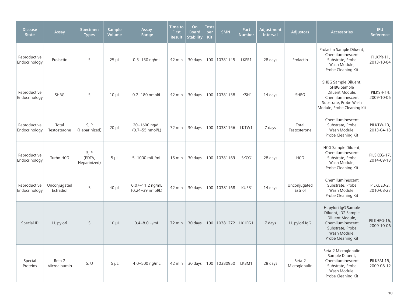| <b>Disease</b><br><b>State</b> | Assay                     | <b>Specimen</b><br><b>Types</b> | <b>Sample</b><br><b>Volume</b> | Assay<br>Range                          | <b>Time</b> to<br><b>First</b><br><b>Result</b> | On<br><b>Board</b><br><b>Stability</b> | <b>Tests</b><br>per<br><b>Kit</b> | SMN            | Part<br><b>Number</b> | Adjustment<br>Interval | <b>Adjustors</b>        | <b>Accessories</b>                                                                                                                           | <b>IFU</b><br>Reference   |
|--------------------------------|---------------------------|---------------------------------|--------------------------------|-----------------------------------------|-------------------------------------------------|----------------------------------------|-----------------------------------|----------------|-----------------------|------------------------|-------------------------|----------------------------------------------------------------------------------------------------------------------------------------------|---------------------------|
| Reproductive<br>Endocrinology  | Prolactin                 | S                               | $25 \mu L$                     | $0.5 - 150$ ng/mL                       | 42 min                                          | 30 days                                |                                   | 100 10381145   | LKPR1                 | 28 days                | Prolactin               | Prolactin Sample Diluent,<br>Chemiluminescent<br>Substrate, Probe<br>Wash Module,<br>Probe Cleaning Kit                                      | PILKPR-11,<br>2013-10-04  |
| Reproductive<br>Endocrinology  | <b>SHBG</b>               | S                               | $10 \mu L$                     | 0.2-180 nmol/L                          | 42 min                                          | 30 days                                |                                   | 100 10381138   | LKSH1                 | 14 days                | <b>SHBG</b>             | SHBG Sample Diluent,<br><b>SHBG Sample</b><br>Diluent Module,<br>Chemiluminescent<br>Substrate, Probe Wash<br>Module, Probe Cleaning Kit     | PILKSH-14,<br>2009-10-06  |
| Reproductive<br>Endocrinology  | Total<br>Testosterone     | S, P<br>(Heparinized)           | $20 \mu L$                     | 20-1600 ng/dL<br>$(0.7 - 55$ nmol/L)    | 72 min                                          | 30 days                                |                                   | 100   10381156 | LKTW1                 | 7 days                 | Total<br>Testosterone   | Chemiluminescent<br>Substrate, Probe<br>Wash Module,<br>Probe Cleaning Kit                                                                   | PILKTW-13,<br>2013-04-18  |
| Reproductive<br>Endocrinology  | Turbo HCG                 | S, P<br>(EDTA,<br>Heparinized)  | $5 \mu L$                      | 5-1000 mIU/mL                           | $15 \text{ min}$                                | 30 days                                |                                   | 100   10381169 | LSKCG1                | 28 days                | <b>HCG</b>              | HCG Sample Diluent,<br>Chemiluminescent<br>Substrate, Probe<br>Wash Module,<br>Probe Cleaning Kit                                            | PILSKCG-17,<br>2014-09-18 |
| Reproductive<br>Endocrinology  | Unconjugated<br>Estradiol | S                               | $40 \mu L$                     | $0.07 - 11.2$ ng/mL<br>(0.24-39 nmol/L) | 42 min                                          | 30 days                                |                                   | 100 10381168   | LKUE31                | 14 days                | Unconjugated<br>Estriol | Chemiluminescent<br>Substrate, Probe<br>Wash Module,<br>Probe Cleaning Kit                                                                   | PILKUE3-2,<br>2010-08-23  |
| Special ID                     | H. pylori                 | $\mathsf{S}$                    | $10 \mu L$                     | $0.4 - 8.0$ U/mL                        | 72 min                                          | 30 days                                |                                   | 100   10381272 | LKHPG1                | 7 days                 | H. pylori IgG           | H. pylori IgG Sample<br>Diluent, ID2 Sample<br>Diluent Module,<br>Chemiluminescent<br>Substrate, Probe<br>Wash Module,<br>Probe Cleaning Kit | PILKHPG-16,<br>2009-10-06 |
| Special<br>Proteins            | Beta-2<br>Microalbumin    | S, U                            | $5 \mu L$                      | 4.0-500 ng/mL                           | 42 min                                          | 30 days                                |                                   | 100 10380950   | LKBM1                 | 28 days                | Beta-2<br>Microglobulin | Beta-2 Microglobulin<br>Sample Diluent,<br>Chemiluminescent<br>Substrate, Probe<br>Wash Module,<br>Probe Cleaning Kit                        | PILKBM-15,<br>2009-08-12  |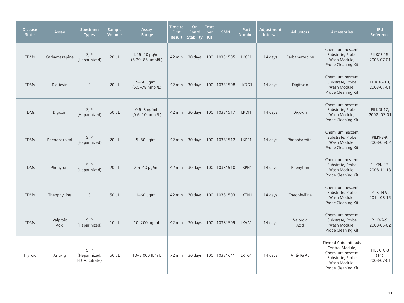| <b>Disease</b><br><b>State</b> | Assay            | <b>Specimen</b><br><b>Types</b>        | <b>Sample</b><br>Volume | Assay<br>Range                               | Time to<br><b>First</b><br><b>Result</b> | On<br><b>Board</b><br><b>Stability</b> | <b>Tests</b><br>per<br><b>Kit</b> | <b>SMN</b>   | Part<br><b>Number</b> | <b>Adjustment</b><br><b>Interval</b> | <b>Adjustors</b> | <b>Accessories</b>                                                                                                    | <b>IFU</b><br>Reference             |
|--------------------------------|------------------|----------------------------------------|-------------------------|----------------------------------------------|------------------------------------------|----------------------------------------|-----------------------------------|--------------|-----------------------|--------------------------------------|------------------|-----------------------------------------------------------------------------------------------------------------------|-------------------------------------|
| <b>TDMs</b>                    | Carbamazepine    | S, P<br>(Heparinized)                  | $20 \mu L$              | $1.25 - 20 \mu$ g/mL<br>(5.29-85 µmol/L)     | 42 min                                   | 30 days                                |                                   | 100 10381505 | LKCB1                 | 14 days                              | Carbamazepine    | Chemiluminescent<br>Substrate, Probe<br>Wash Module,<br>Probe Cleaning Kit                                            | PILKCB-15,<br>2008-07-01            |
| <b>TDMs</b>                    | Digitoxin        | $\mathsf{S}$                           | $20 \mu L$              | 5-60 µg/mL<br>$(6.5 - 78 \text{ nmol/L})$    | 42 min                                   | 30 days                                |                                   | 100 10381508 | LKDG1                 | 14 days                              | Digitoxin        | Chemiluminescent<br>Substrate, Probe<br>Wash Module,<br>Probe Cleaning Kit                                            | PILKDG-10,<br>2008-07-01            |
| <b>TDMs</b>                    | Digoxin          | S, P<br>(Heparinized)                  | $50 \mu L$              | $0.5-8$ ng/mL<br>$(0.6 - 10 \text{ nmol/L})$ | 42 min                                   | 30 days                                |                                   | 100 10381517 | LKDI1                 | 14 days                              | Digoxin          | Chemiluminescent<br>Substrate, Probe<br>Wash Module,<br>Probe Cleaning Kit                                            | PILKDI-17.<br>2008--07-01           |
| <b>TDMs</b>                    | Phenobarbital    | S, P<br>(Heparinized)                  | $20 \mu L$              | $5-80$ µg/mL                                 | 42 min                                   | 30 days                                |                                   | 100 10381512 | LKPB1                 | 14 days                              | Phenobarbital    | Chemiluminescent<br>Substrate, Probe<br>Wash Module,<br>Probe Cleaning Kit                                            | PILKPB-9,<br>2008-05-02             |
| <b>TDMs</b>                    | Phenytoin        | S, P<br>(Heparinized)                  | $20 \mu L$              | $2.5 - 40$ µg/mL                             | 42 min                                   | 30 days                                |                                   | 100 10381510 | LKPN1                 | 14 days                              | Phenytoin        | Chemiluminescent<br>Substrate, Probe<br>Wash Module,<br>Probe Cleaning Kit                                            | PILKPN-13,<br>2008-11-18            |
| <b>TDMs</b>                    | Theophylline     | S                                      | $50 \mu L$              | $1-60$ µg/mL                                 | 42 min                                   | 30 days                                |                                   | 100 10381503 | LKTN1                 | 14 days                              | Theophylline     | Chemiluminescent<br>Substrate, Probe<br>Wash Module,<br>Probe Cleaning Kit                                            | PILKTN-9,<br>2014-08-15             |
| <b>TDMs</b>                    | Valproic<br>Acid | S, P<br>(Heparinized)                  | $10 \mu L$              | 10-200 µg/mL                                 | 42 min                                   | 30 days                                |                                   | 100 10381509 | LKVA1                 | 14 days                              | Valproic<br>Acid | Chemiluminescent<br>Substrate, Probe<br>Wash Module,<br>Probe Cleaning Kit                                            | PILKVA-9.<br>2008-05-02             |
| Thyroid                        | Anti-Tq          | S.P<br>(Heparinized,<br>EDTA, Citrate) | $50 \mu L$              | 10-3,000 IU/mL                               | 72 min                                   | 30 days                                |                                   | 100 10381641 | LKTG1                 | 14 days                              | Anti-TG Ab       | Thyroid Autoantibody<br>Control Module,<br>Chemiluminescent<br>Substrate, Probe<br>Wash Module,<br>Probe Cleaning Kit | PIELKTG-3<br>$(14)$ ,<br>2008-07-01 |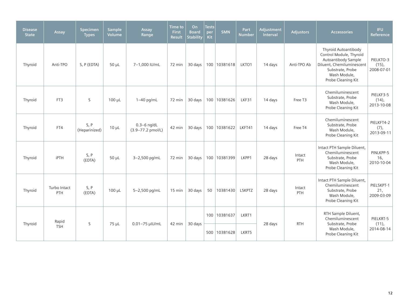| <b>Disease</b><br><b>State</b> | Assay               | <b>Specimen</b><br><b>Types</b> | <b>Sample</b><br>Volume | Assay<br>Range                       | <b>Time to</b><br><b>First</b><br><b>Result</b> | On<br><b>Board</b><br><b>Stability</b> | <b>Tests</b><br>per<br>Kit | <b>SMN</b>     | Part<br><b>Number</b> | Adjustment<br><b>Interval</b> | <b>Adjustors</b> | <b>Accessories</b>                                                                                                                                            | <b>IFU</b><br><b>Reference</b>      |
|--------------------------------|---------------------|---------------------------------|-------------------------|--------------------------------------|-------------------------------------------------|----------------------------------------|----------------------------|----------------|-----------------------|-------------------------------|------------------|---------------------------------------------------------------------------------------------------------------------------------------------------------------|-------------------------------------|
| Thyroid                        | Anti-TPO            | S, P (EDTA)                     | $50 \mu L$              | 7-1,000 IU/mL                        | 72 min                                          | 30 days                                |                            | 100   10381618 | LKTO1                 | 14 days                       | Anti-TPO Ab      | Thyroid Autoantibody<br>Control Module, Thyroid<br>Autoantibody Sample<br>Diluent, Chemiluminescent<br>Substrate, Probe<br>Wash Module,<br>Probe Cleaning Kit | PIELKTO-3<br>$(15)$ ,<br>2008-07-01 |
| Thyroid                        | FT3                 | S                               | $100 \mu L$             | $1-40$ pg/mL                         | 72 min                                          | 30 days                                |                            | 100 10381626   | LKF31                 | 14 days                       | Free T3          | Chemiluminescent<br>Substrate, Probe<br>Wash Module,<br>Probe Cleaning Kit                                                                                    | PIELKF3-5<br>$(14)$ ,<br>2013-10-08 |
| Thyroid                        | FT4                 | S, P<br>(Heparinized)           | $10 \mu L$              | $0.3 - 6$ ng/dL<br>(3.9-77.2 pmol/L) | 42 min                                          | 30 days                                |                            | 100   10381622 | LKFT41                | 14 days                       | Free T4          | Chemiluminescent<br>Substrate, Probe<br>Wash Module,<br>Probe Cleaning Kit                                                                                    | PIELKFT4-2<br>$(7)$ ,<br>2013-09-11 |
| Thyroid                        | <b>iPTH</b>         | S, P<br>(EDTA)                  | $50 \mu L$              | 3-2,500 pg/mL                        | 72 min                                          | 30 days                                |                            | 100 10381399   | LKPP1                 | 28 days                       | Intact<br>PTH    | Intact PTH Sample Diluent,<br>Chemiluminescent<br>Substrate, Probe<br>Wash Module,<br>Probe Cleaning Kit                                                      | PINLKPP-5<br>16,<br>2010-10-04      |
| Thyroid                        | Turbo Intact<br>PTH | S, P<br>(EDTA)                  | $100 \mu L$             | 5-2,500 pg/mL                        | $15 \text{ min}$                                | 30 days                                | 50                         | 10381430       | LSKPTZ                | 28 days                       | Intact<br>PTH    | Intact PTH Sample Diluent,<br>Chemiluminescent<br>Substrate, Probe<br>Wash Module,<br>Probe Cleaning Kit                                                      | PIELSKPT-1<br>21,<br>2009-03-09     |
|                                | Rapid               | S                               |                         |                                      |                                                 | 30 days                                | 100                        | 10381637       | LKRT1                 |                               | <b>RTH</b>       | RTH Sample Diluent,<br>Chemiluminescent<br>Substrate, Probe                                                                                                   | PIELKRT-5<br>(11),                  |
| Thyroid                        | <b>TSH</b>          |                                 | 75 µL                   | 0.01-75 µIU/mL                       | 42 min                                          |                                        | 500                        | 10381628       | LKRT5                 | 28 days                       |                  | Wash Module,<br>Probe Cleaning Kit                                                                                                                            | 2014-08-14                          |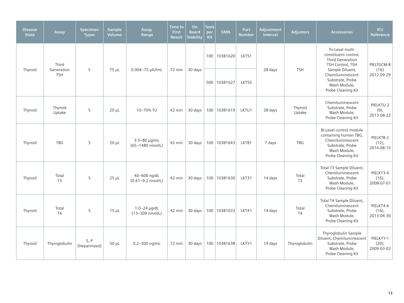| <b>Disease</b><br><b>State</b> | Assay                    | <b>Specimen</b><br><b>Types</b> | <b>Sample</b><br>Volume | Assay<br>Range                        | <b>Time</b> to<br><b>First</b><br><b>Result</b> | On<br><b>Board</b><br><b>Stability</b> | <b>Tests</b><br>per<br>Kit | <b>SMN</b>   | Part<br><b>Number</b> | Adjustment<br><b>Interval</b> | <b>Adjustors</b>        | <b>Accessories</b>                                                                                                             | <b>IFU</b><br>Reference             |
|--------------------------------|--------------------------|---------------------------------|-------------------------|---------------------------------------|-------------------------------------------------|----------------------------------------|----------------------------|--------------|-----------------------|-------------------------------|-------------------------|--------------------------------------------------------------------------------------------------------------------------------|-------------------------------------|
|                                | Third                    |                                 |                         |                                       |                                                 |                                        | 100                        | 10381620     | LKTS1                 |                               |                         | Tri-Level multi-<br>constituent control,<br><b>Third Generation</b><br>TSH Control, TSH                                        | PIELTGCM-8                          |
| Thyroid                        | Generation<br><b>TSH</b> | S                               | $75 \mu L$              | 0.004-75 µlU/mL                       | 72 min                                          | 30 days                                |                            | 500 10381627 | LKTS5                 | 28 days                       | <b>TSH</b>              | Sample Diluent,<br>Chemiluminescent<br>Substrate, Probe<br>Wash Module,<br>Probe Cleaning Kit                                  | (16)<br>2012-09-29                  |
| Thyroid                        | Thyroid<br>Uptake        | S                               | $20 \mu L$              | 10-70% TU                             | 42 min                                          | 30 days                                |                            | 100 10381619 | LKTU1                 | 28 days                       | Thyroid<br>Uptake       | Chemiluminescent<br>Substrate, Probe<br>Wash Module,<br>Probe Cleaning Kit                                                     | PIELKTU-2<br>(9),<br>2013-08-22     |
| Thyroid                        | <b>TBG</b>               | S                               | $20 \mu L$              | 3.5-80 µg/mL<br>(65-1480 nmol/L)      | 42 min                                          | 30 days                                |                            | 100 10381643 | LKTB1                 | 7 days                        | <b>TBG</b>              | Bi-Level control module<br>containing human TBG,<br>Chemiluminescent<br>Substrate, Probe<br>Wash Module,<br>Probe Cleaning Kit | PIELKTB-2<br>$(12)$ ,<br>2014-08-15 |
| Thyroid                        | Total<br>T <sub>3</sub>  | S                               | $25 \mu L$              | 40-600 ng/dL<br>$(0.61 - 9.2$ nmol/L) | 42 min                                          | 30 days                                |                            | 100 10381630 | LKT31                 | 14 days                       | Total<br>T <sub>3</sub> | Total T3 Sample Diluent,<br>Chemiluminescent<br>Substrate, Probe<br>Wash Module,<br>Probe Cleaning Kit                         | PIELKT3-4<br>$(16)$ ,<br>2008-07-01 |
| Thyroid                        | Total<br>T <sub>4</sub>  | S                               | $15 \mu L$              | 1.0-24 µg/dL<br>(13-309 nmol/L)       | 42 min                                          | 30 days                                |                            | 100 10381633 | LKT41                 | 14 days                       | Total<br>T4             | Total T4 Sample Diluent,<br>Chemiluminescent<br>Substrate, Probe<br>Wash Module,<br>Probe Cleaning Kit                         | PIELKT4-6<br>$(16)$ ,<br>2013-04-30 |
| Thyroid                        | Thyroglobulin            | S, P<br>(Heparinized)           | $50 \mu L$              | 0.2-300 ng/mL                         | 72 min                                          | 30 days                                |                            | 100 10381638 | LKTY1                 | 14 days                       | Thyroglobulin           | Thyroglobulin Sample<br>Diluent, Chemiluminescent<br>Substrate, Probe<br>Wash Module,<br>Probe Cleaning Kit                    | PIELKTY-1<br>$(20)$ ,<br>2009-03-02 |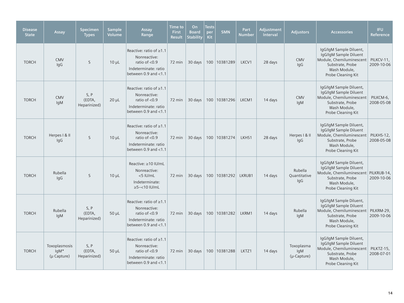| <b>Disease</b><br><b>State</b> | Assay                                    | Specimen<br><b>Types</b>       | <b>Sample</b><br><b>Volume</b> | Assay<br>Range                                                                                                         | <b>Time to</b><br><b>First</b><br><b>Result</b> | On<br><b>Board</b><br><b>Stability</b> | <b>Tests</b><br>per<br>Kit | <b>SMN</b>     | Part<br><b>Number</b> | Adjustment<br>Interval | <b>Adjustors</b>                      | <b>Accessories</b>                                                                                                                                    | <b>IFU</b><br>Reference  |
|--------------------------------|------------------------------------------|--------------------------------|--------------------------------|------------------------------------------------------------------------------------------------------------------------|-------------------------------------------------|----------------------------------------|----------------------------|----------------|-----------------------|------------------------|---------------------------------------|-------------------------------------------------------------------------------------------------------------------------------------------------------|--------------------------|
| <b>TORCH</b>                   | <b>CMV</b><br>lgG                        | S                              | $10 \mu L$                     | Reactive: ratio of $\geq 1.1$<br>Nonreactive:<br>ratio of $< 0.9$<br>Indeterminate: ratio<br>between $0.9$ and $< 1.1$ | 72 min                                          | 30 days                                |                            | 100 10381289   | LKCV1                 | 28 days                | <b>CMV</b><br>lgG                     | IgG/IgM Sample Diluent,<br>IgG/IgM Sample Diluent<br>Module, Chemiluminescent<br>Substrate, Probe<br>Wash Module,<br>Probe Cleaning Kit               | PILKCV-11,<br>2009-10-06 |
| <b>TORCH</b>                   | <b>CMV</b><br><b>IqM</b>                 | S, P<br>(EDTA,<br>Heparinized) | $20 \mu L$                     | Reactive: ratio of $\geq 1.1$<br>Nonreactive:<br>ratio of $< 0.9$<br>Indeterminate: ratio<br>between $0.9$ and $< 1.1$ | 72 min                                          | 30 days                                |                            | 100   10381296 | LKCM1                 | 14 days                | <b>CMV</b><br><b>IqM</b>              | IgG/IgM Sample Diluent,<br>IgG/IgM Sample Diluent<br>Module, Chemiluminescent<br>Substrate, Probe<br>Wash Module,<br>Probe Cleaning Kit               | PILKCM-6,<br>2008-05-08  |
| <b>TORCH</b>                   | Herpes I & II<br>lgG                     | S                              | $10 \mu L$                     | Reactive: ratio of $\geq 1.1$<br>Nonreactive:<br>ratio of $< 0.9$<br>Indeterminate: ratio<br>between $0.9$ and $< 1.1$ | 72 min                                          | 30 days                                |                            | 100 10381274   | LKHS1                 | 28 days                | Herpes I & II<br>lgG                  | IgG/IgM Sample Diluent,<br>IgG/IgM Sample Diluent<br>Module, Chemiluminescent<br>Substrate, Probe<br>Wash Module,<br>Probe Cleaning Kit               | PILKHS-12,<br>2008-05-08 |
| <b>TORCH</b>                   | Rubella<br>lgG                           | S                              | $10 \mu L$                     | Reactive: ≥10 IU/mL<br>Nonreactive:<br><5 IU/mL<br>Indeterminate:<br>$\geq 5 - < 10$ IU/mL                             | 72 min                                          | 30 days                                |                            | 100 10381292   | LKRUB1                | 14 days                | Rubella<br>Quantitative<br>lgG        | IgG/IgM Sample Diluent,<br>IgG/IgM Sample Diluent<br>Module, Chemiluminescent   PILKRUB-14,<br>Substrate, Probe<br>Wash Module,<br>Probe Cleaning Kit | 2009-10-06               |
| <b>TORCH</b>                   | Rubella<br>lgM                           | S, P<br>(EDTA,<br>Heparinized) | $50 \mu L$                     | Reactive: ratio of $\geq 1.1$<br>Nonreactive:<br>ratio of <0.9<br>Indeterminate: ratio<br>between $0.9$ and $< 1.1$    | 72 min                                          | 30 days                                |                            | 100 10381282   | LKRM1                 | 14 days                | Rubella<br><b>IqM</b>                 | IgG/IgM Sample Diluent,<br>IgG/IgM Sample Diluent<br>Module, Chemiluminescent<br>Substrate, Probe<br>Wash Module,<br>Probe Cleaning Kit               | PILKRM-29,<br>2009-10-06 |
| <b>TORCH</b>                   | Toxoplasmosis<br>lgM*<br>$(\mu$ Capture) | S, P<br>(EDTA,<br>Heparinized) | $50 \mu L$                     | Reactive: ratio of $\geq 1.1$<br>Nonreactive:<br>ratio of $<$ 0.9<br>Indeterminate: ratio<br>between $0.9$ and $< 1.1$ | 72 min                                          | 30 days                                |                            | 100 10381288   | LKTZ1                 | 14 days                | Toxoplasma<br>lgM<br>$(\mu$ -Capture) | IqG/IqM Sample Diluent,<br>IgG/IgM Sample Diluent<br>Module, Chemiluminescent<br>Substrate, Probe<br>Wash Module,<br>Probe Cleaning Kit               | PILKTZ-15,<br>2008-07-01 |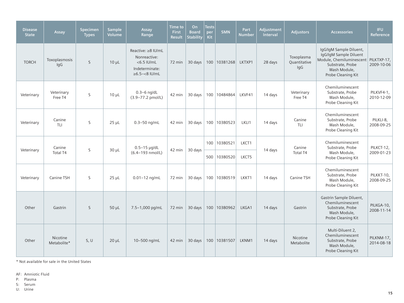| <b>Disease</b><br><b>State</b> | Assay                   | <b>Specimen</b><br><b>Types</b> | <b>Sample</b><br>Volume | Assay<br>Range                                                                                  | Time to<br><b>First</b><br><b>Result</b> | On<br><b>Board</b><br><b>Stability</b> | <b>Tests</b><br>per<br>Kit | <b>SMN</b>     | Part<br><b>Number</b> | Adjustment<br><b>Interval</b> | <b>Adjustors</b>                  | <b>Accessories</b>                                                                                                                                  | <b>IFU</b><br>Reference  |
|--------------------------------|-------------------------|---------------------------------|-------------------------|-------------------------------------------------------------------------------------------------|------------------------------------------|----------------------------------------|----------------------------|----------------|-----------------------|-------------------------------|-----------------------------------|-----------------------------------------------------------------------------------------------------------------------------------------------------|--------------------------|
| <b>TORCH</b>                   | Toxoplasmosis<br>IgG    | <sub>S</sub>                    | $10 \mu L$              | Reactive: ≥8 IU/mL<br>Nonreactive:<br>$<$ 6.5 IU/mL<br>Indeterminate:<br>$\geq 6.5 - < 8$ IU/mL | 72 min                                   | 30 days                                |                            | 100   10381268 | LKTXP1                | 28 days                       | Toxoplasma<br>Quantitative<br>IgG | IgG/IgM Sample Diluent,<br>IgG/IgM Sample Diluent<br>Module, Chemiluminescent PILKTXP-17,<br>Substrate, Probe<br>Wash Module,<br>Probe Cleaning Kit | 2009-10-06               |
| Veterinary                     | Veterinary<br>Free T4   | S                               | $10 \mu L$              | $0.3 - 6$ ng/dL<br>(3.9-77.2 pmol/L)                                                            | 42 min                                   | 30 days                                |                            | 100 10484864   | LKVF41                | 14 days                       | Veterinary<br>Free T4             | Chemiluminescent<br>Substrate, Probe<br>Wash Module,<br>Probe Cleaning Kit                                                                          | PILKVF4-1,<br>2010-12-09 |
| Veterinary                     | Canine<br>TLI           | S                               | $25 \mu L$              | $0.3 - 50$ ng/mL                                                                                | 42 min                                   | 30 days                                | 100                        | 10380523       | LKLI1                 | 14 days                       | Canine<br><b>TLI</b>              | Chemiluminescent<br>Substrate, Probe<br>Wash Module,<br>Probe Cleaning Kit                                                                          | PILKLI-8,<br>2008-09-25  |
| Veterinary                     | Canine<br>Total T4      | S                               | $30 \mu L$              | $0.5-15$ µg/dL<br>(6.4-193 nmol/L)                                                              | 42 min                                   | 30 days                                | 100                        | 10380521       | LKCT1                 | 14 days                       | Canine<br>Total T4                | Chemiluminescent<br>Substrate, Probe<br>Wash Module,<br>Probe Cleaning Kit                                                                          | PILKCT-12,<br>2009-01-23 |
|                                |                         |                                 |                         |                                                                                                 |                                          |                                        | 500                        | 10380520       | LKCT5                 |                               |                                   |                                                                                                                                                     |                          |
| Veterinary                     | Canine TSH              | S                               | $25 \mu L$              | $0.01 - 12$ ng/mL                                                                               | 72 min                                   | 30 days                                |                            | 100 10380519   | LKKT1                 | 14 days                       | Canine TSH                        | Chemiluminescent<br>Substrate, Probe<br>Wash Module,<br>Probe Cleaning Kit                                                                          | PILKKT-10,<br>2008-09-25 |
| Other                          | Gastrin                 | S                               | $50 \mu L$              | 7.5-1,000 pg/mL                                                                                 | 72 min                                   | 30 days                                |                            | 100 10380962   | LKGA1                 | 14 days                       | Gastrin                           | Gastrin Sample Diluent,<br>Chemiluminescent<br>Substrate, Probe<br>Wash Module,<br>Probe Cleaning Kit                                               | PILKGA-10,<br>2008-11-14 |
| Other                          | Nicotine<br>Metabolite* | S, U                            | $20 \mu L$              | 10-500 ng/mL                                                                                    | 42 min                                   | 30 days                                |                            | 100 10381507   | LKNM1                 | 14 days                       | Nicotine<br>Metabolite            | Multi-Diluent 2.<br>Chemiluminescent<br>Substrate, Probe<br>Wash Module,<br>Probe Cleaning Kit                                                      | PILKNM-17,<br>2014-08-18 |

\* Not available for sale in the United States

AF: Amniotic Fluid

P: Plasma

S: Serum

U: Urine